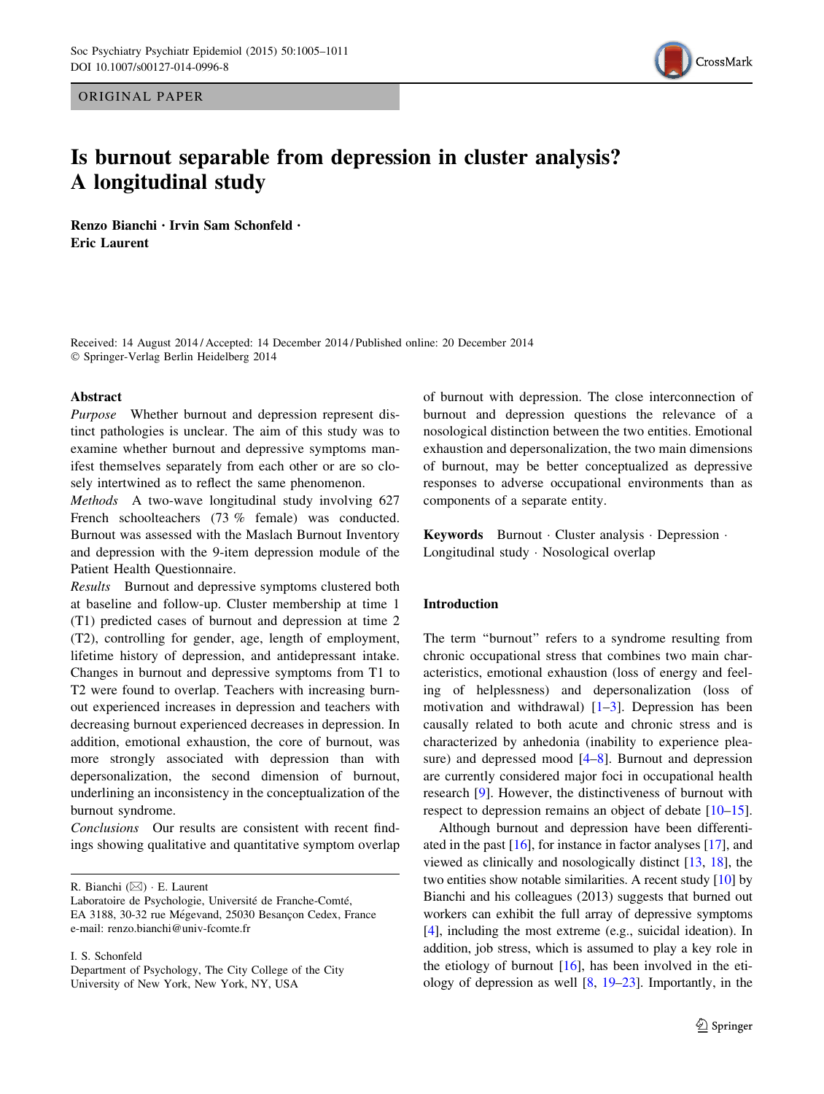ORIGINAL PAPER



# Is burnout separable from depression in cluster analysis? A longitudinal study

Renzo Bianchi • Irvin Sam Schonfeld • Eric Laurent

Received: 14 August 2014 / Accepted: 14 December 2014 / Published online: 20 December 2014 - Springer-Verlag Berlin Heidelberg 2014

### Abstract

Purpose Whether burnout and depression represent distinct pathologies is unclear. The aim of this study was to examine whether burnout and depressive symptoms manifest themselves separately from each other or are so closely intertwined as to reflect the same phenomenon.

Methods A two-wave longitudinal study involving 627 French schoolteachers (73 % female) was conducted. Burnout was assessed with the Maslach Burnout Inventory and depression with the 9-item depression module of the Patient Health Questionnaire.

Results Burnout and depressive symptoms clustered both at baseline and follow-up. Cluster membership at time 1 (T1) predicted cases of burnout and depression at time 2 (T2), controlling for gender, age, length of employment, lifetime history of depression, and antidepressant intake. Changes in burnout and depressive symptoms from T1 to T2 were found to overlap. Teachers with increasing burnout experienced increases in depression and teachers with decreasing burnout experienced decreases in depression. In addition, emotional exhaustion, the core of burnout, was more strongly associated with depression than with depersonalization, the second dimension of burnout, underlining an inconsistency in the conceptualization of the burnout syndrome.

Conclusions Our results are consistent with recent findings showing qualitative and quantitative symptom overlap

R. Bianchi (⊠) · E. Laurent

I. S. Schonfeld

of burnout with depression. The close interconnection of burnout and depression questions the relevance of a nosological distinction between the two entities. Emotional exhaustion and depersonalization, the two main dimensions of burnout, may be better conceptualized as depressive responses to adverse occupational environments than as components of a separate entity.

Keywords Burnout · Cluster analysis · Depression · Longitudinal study - Nosological overlap

# Introduction

The term "burnout" refers to a syndrome resulting from chronic occupational stress that combines two main characteristics, emotional exhaustion (loss of energy and feeling of helplessness) and depersonalization (loss of motivation and withdrawal)  $[1-3]$ . Depression has been causally related to both acute and chronic stress and is characterized by anhedonia (inability to experience pleasure) and depressed mood [[4–](#page-5-0)[8\]](#page-6-0). Burnout and depression are currently considered major foci in occupational health research [\[9](#page-6-0)]. However, the distinctiveness of burnout with respect to depression remains an object of debate [\[10–15](#page-6-0)].

Although burnout and depression have been differentiated in the past [\[16\]](#page-6-0), for instance in factor analyses [\[17\]](#page-6-0), and viewed as clinically and nosologically distinct [[13,](#page-6-0) [18](#page-6-0)], the two entities show notable similarities. A recent study [\[10\]](#page-6-0) by Bianchi and his colleagues (2013) suggests that burned out workers can exhibit the full array of depressive symptoms [\[4](#page-5-0)], including the most extreme (e.g., suicidal ideation). In addition, job stress, which is assumed to play a key role in the etiology of burnout  $[16]$  $[16]$ , has been involved in the etiology of depression as well [\[8](#page-6-0), [19–23\]](#page-6-0). Importantly, in the

Laboratoire de Psychologie, Université de Franche-Comté, EA 3188, 30-32 rue Mégevand, 25030 Besançon Cedex, France e-mail: renzo.bianchi@univ-fcomte.fr

Department of Psychology, The City College of the City University of New York, New York, NY, USA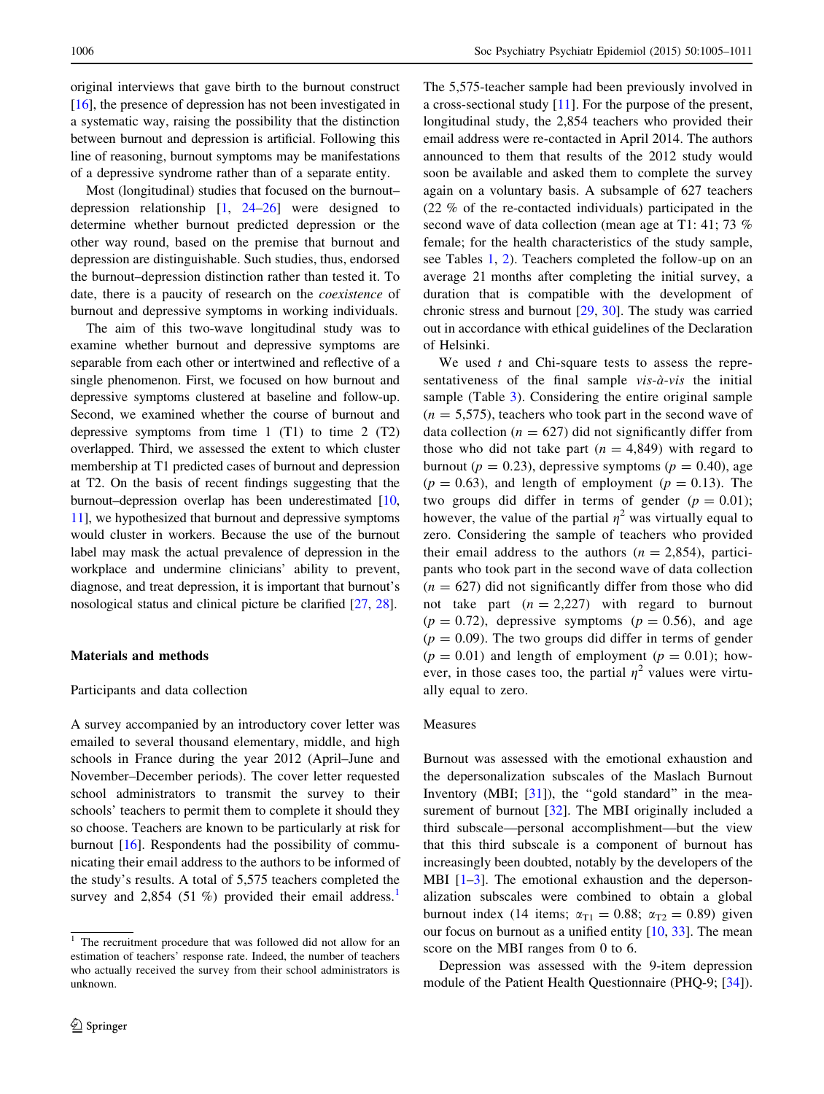original interviews that gave birth to the burnout construct [\[16](#page-6-0)], the presence of depression has not been investigated in a systematic way, raising the possibility that the distinction between burnout and depression is artificial. Following this line of reasoning, burnout symptoms may be manifestations of a depressive syndrome rather than of a separate entity.

Most (longitudinal) studies that focused on the burnout– depression relationship  $\begin{bmatrix} 1 \\ 24-26 \end{bmatrix}$  were designed to determine whether burnout predicted depression or the other way round, based on the premise that burnout and depression are distinguishable. Such studies, thus, endorsed the burnout–depression distinction rather than tested it. To date, there is a paucity of research on the coexistence of burnout and depressive symptoms in working individuals.

The aim of this two-wave longitudinal study was to examine whether burnout and depressive symptoms are separable from each other or intertwined and reflective of a single phenomenon. First, we focused on how burnout and depressive symptoms clustered at baseline and follow-up. Second, we examined whether the course of burnout and depressive symptoms from time  $1$  (T1) to time  $2$  (T2) overlapped. Third, we assessed the extent to which cluster membership at T1 predicted cases of burnout and depression at T2. On the basis of recent findings suggesting that the burnout–depression overlap has been underestimated [[10,](#page-6-0) [11\]](#page-6-0), we hypothesized that burnout and depressive symptoms would cluster in workers. Because the use of the burnout label may mask the actual prevalence of depression in the workplace and undermine clinicians' ability to prevent, diagnose, and treat depression, it is important that burnout's nosological status and clinical picture be clarified [\[27](#page-6-0), [28\]](#page-6-0).

## Materials and methods

### Participants and data collection

A survey accompanied by an introductory cover letter was emailed to several thousand elementary, middle, and high schools in France during the year 2012 (April–June and November–December periods). The cover letter requested school administrators to transmit the survey to their schools' teachers to permit them to complete it should they so choose. Teachers are known to be particularly at risk for burnout [\[16](#page-6-0)]. Respondents had the possibility of communicating their email address to the authors to be informed of the study's results. A total of 5,575 teachers completed the survey and 2,854 (51 %) provided their email address.<sup>1</sup>

The 5,575-teacher sample had been previously involved in a cross-sectional study [[11\]](#page-6-0). For the purpose of the present, longitudinal study, the 2,854 teachers who provided their email address were re-contacted in April 2014. The authors announced to them that results of the 2012 study would soon be available and asked them to complete the survey again on a voluntary basis. A subsample of 627 teachers (22 % of the re-contacted individuals) participated in the second wave of data collection (mean age at T1: 41; 73 % female; for the health characteristics of the study sample, see Tables [1](#page-2-0), [2](#page-2-0)). Teachers completed the follow-up on an average 21 months after completing the initial survey, a duration that is compatible with the development of chronic stress and burnout [[29,](#page-6-0) [30](#page-6-0)]. The study was carried out in accordance with ethical guidelines of the Declaration of Helsinki.

We used  $t$  and Chi-square tests to assess the representativeness of the final sample  $vis-\hat{a}-vis$  the initial sample (Table [3\)](#page-2-0). Considering the entire original sample  $(n = 5,575)$ , teachers who took part in the second wave of data collection ( $n = 627$ ) did not significantly differ from those who did not take part  $(n = 4,849)$  with regard to burnout ( $p = 0.23$ ), depressive symptoms ( $p = 0.40$ ), age  $(p = 0.63)$ , and length of employment  $(p = 0.13)$ . The two groups did differ in terms of gender  $(p = 0.01)$ ; however, the value of the partial  $\eta^2$  was virtually equal to zero. Considering the sample of teachers who provided their email address to the authors  $(n = 2.854)$ , participants who took part in the second wave of data collection  $(n = 627)$  did not significantly differ from those who did not take part  $(n = 2,227)$  with regard to burnout  $(p = 0.72)$ , depressive symptoms  $(p = 0.56)$ , and age  $(p = 0.09)$ . The two groups did differ in terms of gender  $(p = 0.01)$  and length of employment  $(p = 0.01)$ ; however, in those cases too, the partial  $\eta^2$  values were virtually equal to zero.

### Measures

Burnout was assessed with the emotional exhaustion and the depersonalization subscales of the Maslach Burnout Inventory (MBI; [[31](#page-6-0)]), the "gold standard" in the mea-surement of burnout [[32\]](#page-6-0). The MBI originally included a third subscale—personal accomplishment—but the view that this third subscale is a component of burnout has increasingly been doubted, notably by the developers of the MBI  $[1-3]$ . The emotional exhaustion and the depersonalization subscales were combined to obtain a global burnout index (14 items;  $\alpha_{T1} = 0.88$ ;  $\alpha_{T2} = 0.89$ ) given our focus on burnout as a unified entity [[10,](#page-6-0) [33\]](#page-6-0). The mean score on the MBI ranges from 0 to 6.

Depression was assessed with the 9-item depression module of the Patient Health Questionnaire (PHQ-9; [\[34](#page-6-0)]).

<sup>&</sup>lt;sup>1</sup> The recruitment procedure that was followed did not allow for an estimation of teachers' response rate. Indeed, the number of teachers who actually received the survey from their school administrators is unknown.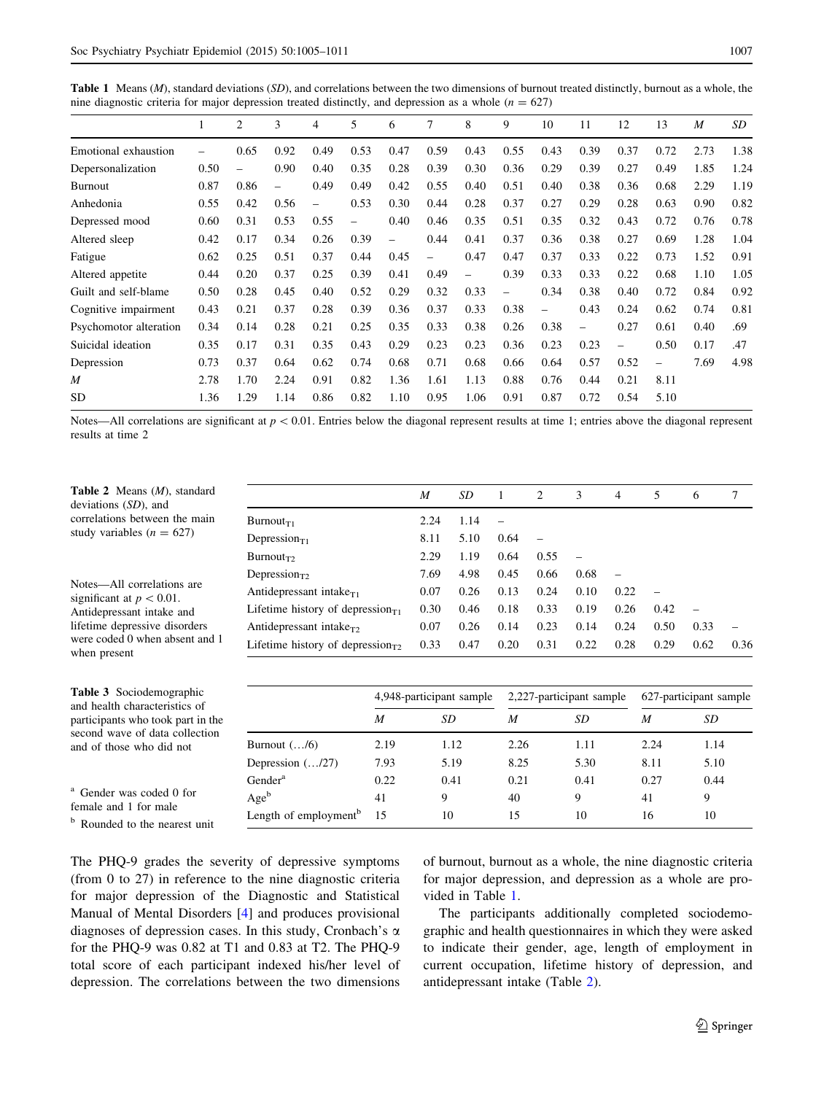<span id="page-2-0"></span>**Table 1** Means  $(M)$ , standard deviations  $(SD)$ , and correlations between the two dimensions of burnout treated distinctly, burnout as a whole, the nine diagnostic criteria for major depression treated distinctly, and depression as a whole ( $n = 627$ )

|                        | 1    | 2                        | 3                        | 4                        | 5                        | 6                        | 7    | 8                        | 9                        | 10                       | 11                       | 12                       | 13                       | M    | SD   |
|------------------------|------|--------------------------|--------------------------|--------------------------|--------------------------|--------------------------|------|--------------------------|--------------------------|--------------------------|--------------------------|--------------------------|--------------------------|------|------|
| Emotional exhaustion   | -    | 0.65                     | 0.92                     | 0.49                     | 0.53                     | 0.47                     | 0.59 | 0.43                     | 0.55                     | 0.43                     | 0.39                     | 0.37                     | 0.72                     | 2.73 | 1.38 |
| Depersonalization      | 0.50 | $\overline{\phantom{0}}$ | 0.90                     | 0.40                     | 0.35                     | 0.28                     | 0.39 | 0.30                     | 0.36                     | 0.29                     | 0.39                     | 0.27                     | 0.49                     | 1.85 | 1.24 |
| Burnout                | 0.87 | 0.86                     | $\overline{\phantom{0}}$ | 0.49                     | 0.49                     | 0.42                     | 0.55 | 0.40                     | 0.51                     | 0.40                     | 0.38                     | 0.36                     | 0.68                     | 2.29 | 1.19 |
| Anhedonia              | 0.55 | 0.42                     | 0.56                     | $\overline{\phantom{0}}$ | 0.53                     | 0.30                     | 0.44 | 0.28                     | 0.37                     | 0.27                     | 0.29                     | 0.28                     | 0.63                     | 0.90 | 0.82 |
| Depressed mood         | 0.60 | 0.31                     | 0.53                     | 0.55                     | $\overline{\phantom{0}}$ | 0.40                     | 0.46 | 0.35                     | 0.51                     | 0.35                     | 0.32                     | 0.43                     | 0.72                     | 0.76 | 0.78 |
| Altered sleep          | 0.42 | 0.17                     | 0.34                     | 0.26                     | 0.39                     | $\overline{\phantom{0}}$ | 0.44 | 0.41                     | 0.37                     | 0.36                     | 0.38                     | 0.27                     | 0.69                     | 1.28 | 1.04 |
| Fatigue                | 0.62 | 0.25                     | 0.51                     | 0.37                     | 0.44                     | 0.45                     | -    | 0.47                     | 0.47                     | 0.37                     | 0.33                     | 0.22                     | 0.73                     | 1.52 | 0.91 |
| Altered appetite       | 0.44 | 0.20                     | 0.37                     | 0.25                     | 0.39                     | 0.41                     | 0.49 | $\overline{\phantom{m}}$ | 0.39                     | 0.33                     | 0.33                     | 0.22                     | 0.68                     | 1.10 | 1.05 |
| Guilt and self-blame   | 0.50 | 0.28                     | 0.45                     | 0.40                     | 0.52                     | 0.29                     | 0.32 | 0.33                     | $\overline{\phantom{0}}$ | 0.34                     | 0.38                     | 0.40                     | 0.72                     | 0.84 | 0.92 |
| Cognitive impairment   | 0.43 | 0.21                     | 0.37                     | 0.28                     | 0.39                     | 0.36                     | 0.37 | 0.33                     | 0.38                     | $\overline{\phantom{0}}$ | 0.43                     | 0.24                     | 0.62                     | 0.74 | 0.81 |
| Psychomotor alteration | 0.34 | 0.14                     | 0.28                     | 0.21                     | 0.25                     | 0.35                     | 0.33 | 0.38                     | 0.26                     | 0.38                     | $\overline{\phantom{0}}$ | 0.27                     | 0.61                     | 0.40 | .69  |
| Suicidal ideation      | 0.35 | 0.17                     | 0.31                     | 0.35                     | 0.43                     | 0.29                     | 0.23 | 0.23                     | 0.36                     | 0.23                     | 0.23                     | $\overline{\phantom{0}}$ | 0.50                     | 0.17 | .47  |
| Depression             | 0.73 | 0.37                     | 0.64                     | 0.62                     | 0.74                     | 0.68                     | 0.71 | 0.68                     | 0.66                     | 0.64                     | 0.57                     | 0.52                     | $\overline{\phantom{0}}$ | 7.69 | 4.98 |
| M                      | 2.78 | 1.70                     | 2.24                     | 0.91                     | 0.82                     | 1.36                     | 1.61 | 1.13                     | 0.88                     | 0.76                     | 0.44                     | 0.21                     | 8.11                     |      |      |
| SD                     | 1.36 | 1.29                     | 1.14                     | 0.86                     | 0.82                     | 1.10                     | 0.95 | 1.06                     | 0.91                     | 0.87                     | 0.72                     | 0.54                     | 5.10                     |      |      |
|                        |      |                          |                          |                          |                          |                          |      |                          |                          |                          |                          |                          |                          |      |      |

Notes—All correlations are significant at  $p < 0.01$ . Entries below the diagonal represent results at time 1; entries above the diagonal represent results at time 2

|                                        | M    | SD   |      | 2    | 3    | 4    | 5    | 6    | 7    |
|----------------------------------------|------|------|------|------|------|------|------|------|------|
| $Burnout_{T1}$                         | 2.24 | 1.14 |      |      |      |      |      |      |      |
| Depression $_{T1}$                     | 8.11 | 5.10 | 0.64 |      |      |      |      |      |      |
| $Burnout_{T2}$                         | 2.29 | 1.19 | 0.64 | 0.55 |      |      |      |      |      |
| Depression $_{T2}$                     | 7.69 | 4.98 | 0.45 | 0.66 | 0.68 |      |      |      |      |
| Antidepressant intake $_{T1}$          | 0.07 | 0.26 | 0.13 | 0.24 | 0.10 | 0.22 |      |      |      |
| Lifetime history of depression $_{T1}$ | 0.30 | 0.46 | 0.18 | 0.33 | 0.19 | 0.26 | 0.42 |      |      |
| Antidepressant intake <sub>r</sub> ,   | 0.07 | 0.26 | 0.14 | 0.23 | 0.14 | 0.24 | 0.50 | 0.33 |      |
| Lifetime history of depression $_{T2}$ | 0.33 | 0.47 | 0.20 | 0.31 | 0.22 | 0.28 | 0.29 | 0.62 | 0.36 |

| <b>Table 3</b> Sociodemographic   |
|-----------------------------------|
| and health characteristics of     |
| participants who took part in the |
| second wave of data collection    |
| and of those who did not          |

Table 2 Means (M), standard deviations (SD), and correlations between the main study variables  $(n = 627)$ 

Notes—All correlations are significant at  $p < 0.01$ . Antidepressant intake and lifetime depressive disorders were coded 0 when absent and

when present

| <sup>a</sup> Gender was coded 0 for |  |  |  |
|-------------------------------------|--|--|--|
| female and 1 for male               |  |  |  |

<sup>b</sup> Rounded to the nearest unit

|                                   | 4,948-participant sample |      |      | 2,227-participant sample | 627-participant sample |      |  |
|-----------------------------------|--------------------------|------|------|--------------------------|------------------------|------|--|
|                                   | M                        | SD   | M    | SD                       | M                      | SD   |  |
| Burnout $($ /6)                   | 2.19                     | 1.12 | 2.26 | 1.11                     | 2.24                   | 1.14 |  |
| Depression (/27)                  | 7.93                     | 5.19 | 8.25 | 5.30                     | 8.11                   | 5.10 |  |
| Gender <sup>a</sup>               | 0.22                     | 0.41 | 0.21 | 0.41                     | 0.27                   | 0.44 |  |
| $Age^b$                           | 41                       | 9    | 40   | 9                        | 41                     | 9    |  |
| Length of employment <sup>b</sup> | 15                       | 10   | 15   | 10                       | 16                     | 10   |  |

The PHQ-9 grades the severity of depressive symptoms (from 0 to 27) in reference to the nine diagnostic criteria for major depression of the Diagnostic and Statistical Manual of Mental Disorders [[4\]](#page-5-0) and produces provisional diagnoses of depression cases. In this study, Cronbach's  $\alpha$ for the PHQ-9 was 0.82 at T1 and 0.83 at T2. The PHQ-9 total score of each participant indexed his/her level of depression. The correlations between the two dimensions of burnout, burnout as a whole, the nine diagnostic criteria for major depression, and depression as a whole are provided in Table 1.

The participants additionally completed sociodemographic and health questionnaires in which they were asked to indicate their gender, age, length of employment in current occupation, lifetime history of depression, and antidepressant intake (Table 2).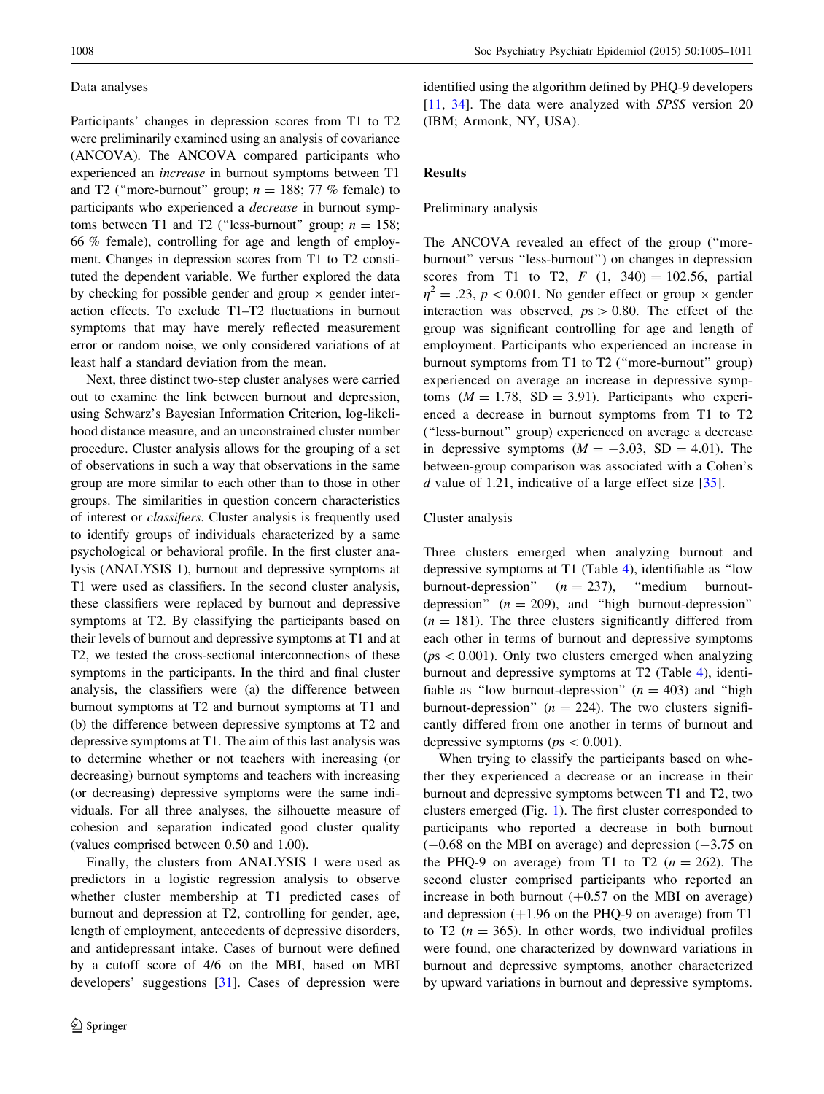# Data analyses

Participants' changes in depression scores from T1 to T2 were preliminarily examined using an analysis of covariance (ANCOVA). The ANCOVA compared participants who experienced an increase in burnout symptoms between T1 and T2 ("more-burnout" group;  $n = 188$ ; 77 % female) to participants who experienced a decrease in burnout symptoms between T1 and T2 ("less-burnout" group;  $n = 158$ ; 66 % female), controlling for age and length of employment. Changes in depression scores from T1 to T2 constituted the dependent variable. We further explored the data by checking for possible gender and group  $\times$  gender interaction effects. To exclude T1–T2 fluctuations in burnout symptoms that may have merely reflected measurement error or random noise, we only considered variations of at least half a standard deviation from the mean.

Next, three distinct two-step cluster analyses were carried out to examine the link between burnout and depression, using Schwarz's Bayesian Information Criterion, log-likelihood distance measure, and an unconstrained cluster number procedure. Cluster analysis allows for the grouping of a set of observations in such a way that observations in the same group are more similar to each other than to those in other groups. The similarities in question concern characteristics of interest or classifiers. Cluster analysis is frequently used to identify groups of individuals characterized by a same psychological or behavioral profile. In the first cluster analysis (ANALYSIS 1), burnout and depressive symptoms at T1 were used as classifiers. In the second cluster analysis, these classifiers were replaced by burnout and depressive symptoms at T2. By classifying the participants based on their levels of burnout and depressive symptoms at T1 and at T2, we tested the cross-sectional interconnections of these symptoms in the participants. In the third and final cluster analysis, the classifiers were (a) the difference between burnout symptoms at T2 and burnout symptoms at T1 and (b) the difference between depressive symptoms at T2 and depressive symptoms at T1. The aim of this last analysis was to determine whether or not teachers with increasing (or decreasing) burnout symptoms and teachers with increasing (or decreasing) depressive symptoms were the same individuals. For all three analyses, the silhouette measure of cohesion and separation indicated good cluster quality (values comprised between 0.50 and 1.00).

Finally, the clusters from ANALYSIS 1 were used as predictors in a logistic regression analysis to observe whether cluster membership at T1 predicted cases of burnout and depression at T2, controlling for gender, age, length of employment, antecedents of depressive disorders, and antidepressant intake. Cases of burnout were defined by a cutoff score of 4/6 on the MBI, based on MBI developers' suggestions [\[31](#page-6-0)]. Cases of depression were identified using the algorithm defined by PHQ-9 developers [\[11](#page-6-0), [34](#page-6-0)]. The data were analyzed with SPSS version 20 (IBM; Armonk, NY, USA).

# Results

### Preliminary analysis

The ANCOVA revealed an effect of the group (''moreburnout'' versus ''less-burnout'') on changes in depression scores from T1 to T2,  $F(1, 340) = 102.56$ , partial  $\eta^2 = .23$ ,  $p < 0.001$ . No gender effect or group  $\times$  gender interaction was observed,  $ps > 0.80$ . The effect of the group was significant controlling for age and length of employment. Participants who experienced an increase in burnout symptoms from T1 to T2 (''more-burnout'' group) experienced on average an increase in depressive symptoms  $(M = 1.78, SD = 3.91)$ . Participants who experienced a decrease in burnout symptoms from T1 to T2 (''less-burnout'' group) experienced on average a decrease in depressive symptoms  $(M = -3.03, SD = 4.01)$ . The between-group comparison was associated with a Cohen's d value of 1.21, indicative of a large effect size  $[35]$  $[35]$ .

# Cluster analysis

Three clusters emerged when analyzing burnout and depressive symptoms at T1 (Table [4](#page-4-0)), identifiable as ''low burnout-depression"  $(n = 237)$ , "medium burnoutdepression"  $(n = 209)$ , and "high burnout-depression"  $(n = 181)$ . The three clusters significantly differed from each other in terms of burnout and depressive symptoms  $(ps < 0.001)$ . Only two clusters emerged when analyzing burnout and depressive symptoms at T2 (Table [4\)](#page-4-0), identifiable as "low burnout-depression"  $(n = 403)$  and "high burnout-depression" ( $n = 224$ ). The two clusters significantly differed from one another in terms of burnout and depressive symptoms ( $ps < 0.001$ ).

When trying to classify the participants based on whether they experienced a decrease or an increase in their burnout and depressive symptoms between T1 and T2, two clusters emerged (Fig. [1](#page-4-0)). The first cluster corresponded to participants who reported a decrease in both burnout  $(-0.68$  on the MBI on average) and depression  $(-3.75)$  on the PHQ-9 on average) from T1 to T2 ( $n = 262$ ). The second cluster comprised participants who reported an increase in both burnout  $(+0.57)$  on the MBI on average) and depression  $(+1.96$  on the PHQ-9 on average) from T1 to T2 ( $n = 365$ ). In other words, two individual profiles were found, one characterized by downward variations in burnout and depressive symptoms, another characterized by upward variations in burnout and depressive symptoms.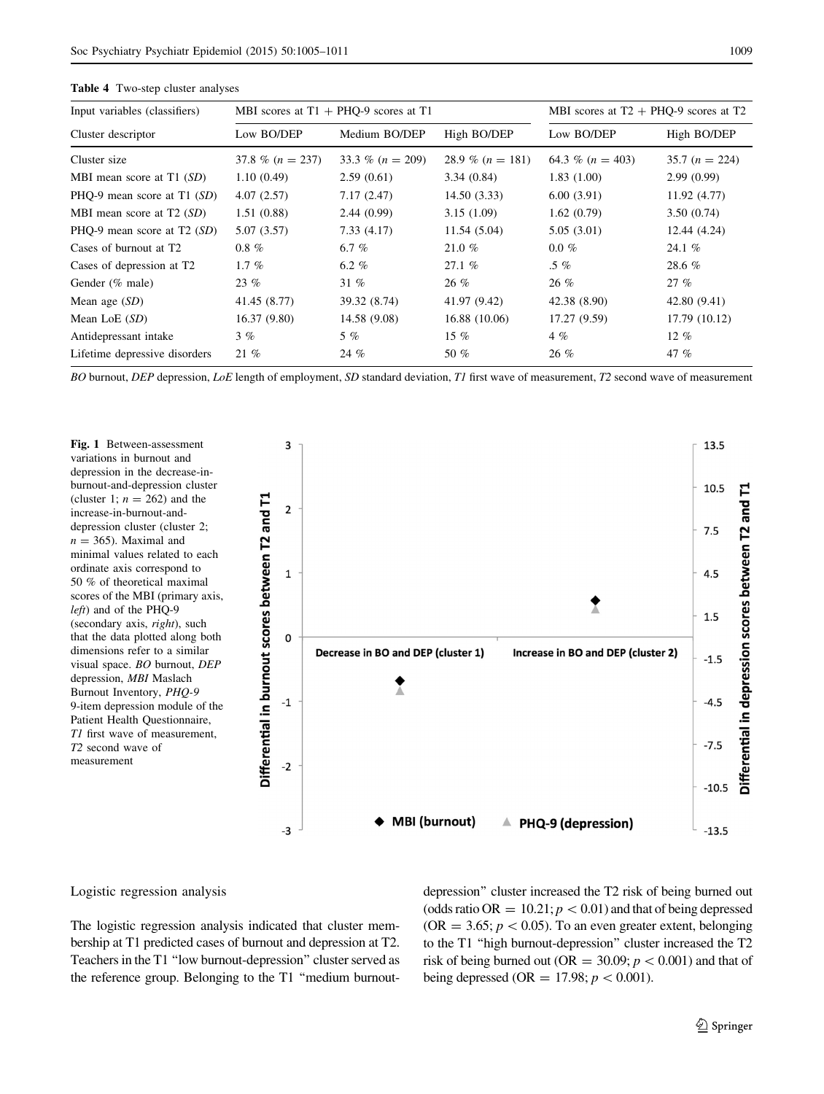| Input variables (classifiers)         |                    | MBI scores at $T1 + PHQ-9$ scores at T1 | MBI scores at $T2 + PHO-9$ scores at T2 |                      |                 |  |
|---------------------------------------|--------------------|-----------------------------------------|-----------------------------------------|----------------------|-----------------|--|
| Cluster descriptor                    | Low BO/DEP         | Medium BO/DEP                           | High BO/DEP                             | Low BO/DEP           | High BO/DEP     |  |
| Cluster size                          | 37.8 % $(n = 237)$ | 33.3 % $(n = 209)$                      | 28.9 % $(n = 181)$                      | 64.3 % ( $n = 403$ ) | $35.7(n = 224)$ |  |
| MBI mean score at $T1(SD)$            | 1.10(0.49)         | 2.59(0.61)                              | 3.34(0.84)                              | 1.83(1.00)           | 2.99(0.99)      |  |
| PHQ-9 mean score at $T1(SD)$          | 4.07(2.57)         | 7.17(2.47)                              | 14.50(3.33)                             | 6.00(3.91)           | 11.92(4.77)     |  |
| MBI mean score at $T2(SD)$            | 1.51(0.88)         | 2.44(0.99)                              | 3.15(1.09)                              | 1.62(0.79)           | 3.50(0.74)      |  |
| PHQ-9 mean score at $T2(SD)$          | 5.07 (3.57)        | 7.33(4.17)                              | 11.54(5.04)                             | 5.05(3.01)           | 12.44 (4.24)    |  |
| Cases of burnout at T <sub>2</sub>    | $0.8 \%$           | 6.7 %                                   | 21.0 $%$                                | $0.0 \%$             | 24.1 $%$        |  |
| Cases of depression at T <sub>2</sub> | 1.7 $%$            | 6.2 $%$                                 | 27.1%                                   | $.5\%$               | 28.6 $%$        |  |
| Gender (% male)                       | $23\%$             | 31%                                     | $26\%$                                  | $26 \%$              | 27%             |  |
| Mean age $(SD)$                       | 41.45 (8.77)       | 39.32 (8.74)                            | 41.97 (9.42)                            | 42.38 (8.90)         | 42.80 (9.41)    |  |
| Mean LoE $(SD)$                       | 16.37(9.80)        | 14.58 (9.08)                            | 16.88 (10.06)                           | 17.27 (9.59)         | 17.79 (10.12)   |  |
| Antidepressant intake                 | $3 \%$             | $5\%$                                   | 15 $%$                                  | $4\%$                | $12\%$          |  |
| Lifetime depressive disorders         | $21 \%$            | 24 %                                    | 50 %                                    | $26\%$               | 47 $%$          |  |

<span id="page-4-0"></span>Table 4 Two-step cluster analyses

BO burnout, DEP depression, LoE length of employment, SD standard deviation, T1 first wave of measurement, T2 second wave of measurement



#### Logistic regression analysis

The logistic regression analysis indicated that cluster membership at T1 predicted cases of burnout and depression at T2. Teachers in the T1 ''low burnout-depression'' cluster served as the reference group. Belonging to the T1 ''medium burnoutdepression'' cluster increased the T2 risk of being burned out (odds ratio OR =  $10.21$ ;  $p < 0.01$ ) and that of being depressed (OR = 3.65;  $p < 0.05$ ). To an even greater extent, belonging to the T1 ''high burnout-depression'' cluster increased the T2 risk of being burned out (OR = 30.09;  $p < 0.001$ ) and that of being depressed (OR = 17.98;  $p < 0.001$ ).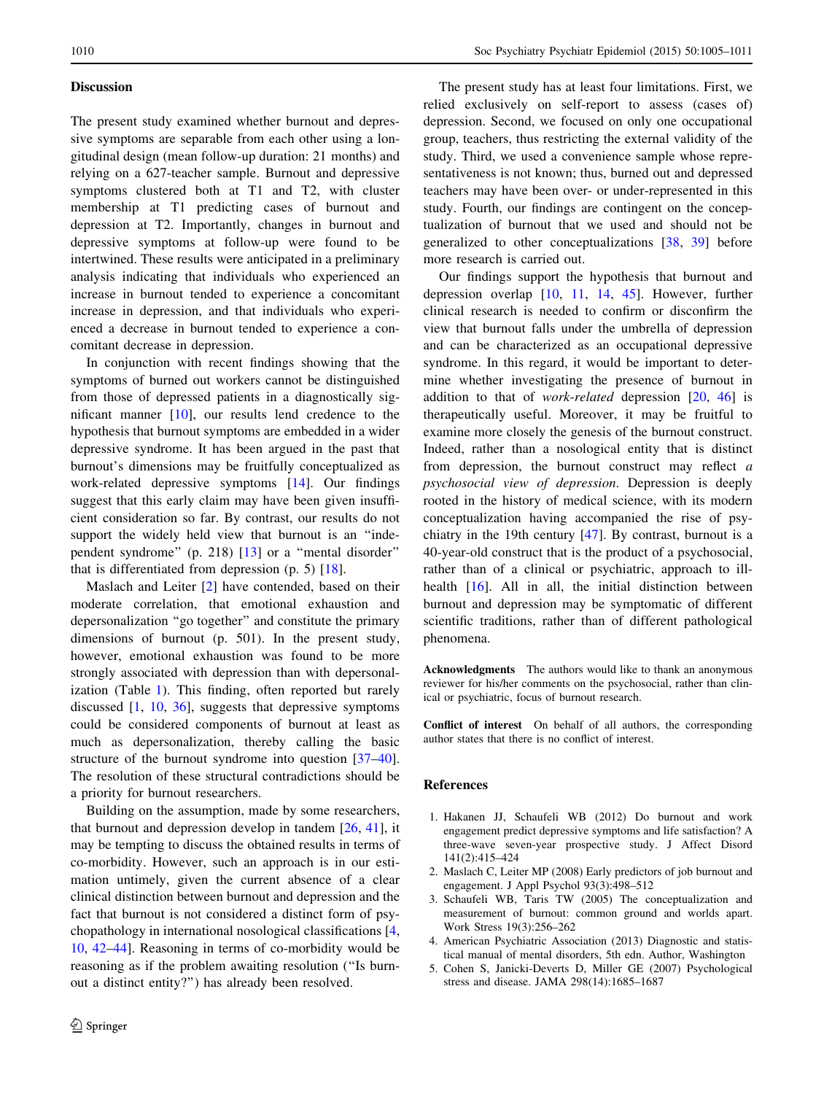# <span id="page-5-0"></span>**Discussion**

The present study examined whether burnout and depressive symptoms are separable from each other using a longitudinal design (mean follow-up duration: 21 months) and relying on a 627-teacher sample. Burnout and depressive symptoms clustered both at T1 and T2, with cluster membership at T1 predicting cases of burnout and depression at T2. Importantly, changes in burnout and depressive symptoms at follow-up were found to be intertwined. These results were anticipated in a preliminary analysis indicating that individuals who experienced an increase in burnout tended to experience a concomitant increase in depression, and that individuals who experienced a decrease in burnout tended to experience a concomitant decrease in depression.

In conjunction with recent findings showing that the symptoms of burned out workers cannot be distinguished from those of depressed patients in a diagnostically significant manner [\[10](#page-6-0)], our results lend credence to the hypothesis that burnout symptoms are embedded in a wider depressive syndrome. It has been argued in the past that burnout's dimensions may be fruitfully conceptualized as work-related depressive symptoms [[14\]](#page-6-0). Our findings suggest that this early claim may have been given insufficient consideration so far. By contrast, our results do not support the widely held view that burnout is an "independent syndrome'' (p. 218) [\[13](#page-6-0)] or a ''mental disorder'' that is differentiated from depression  $(p. 5)$  [[18\]](#page-6-0).

Maslach and Leiter [2] have contended, based on their moderate correlation, that emotional exhaustion and depersonalization ''go together'' and constitute the primary dimensions of burnout (p. 501). In the present study, however, emotional exhaustion was found to be more strongly associated with depression than with depersonalization (Table [1](#page-2-0)). This finding, often reported but rarely discussed [1, [10](#page-6-0), [36\]](#page-6-0), suggests that depressive symptoms could be considered components of burnout at least as much as depersonalization, thereby calling the basic structure of the burnout syndrome into question [\[37–40](#page-6-0)]. The resolution of these structural contradictions should be a priority for burnout researchers.

Building on the assumption, made by some researchers, that burnout and depression develop in tandem [[26,](#page-6-0) [41\]](#page-6-0), it may be tempting to discuss the obtained results in terms of co-morbidity. However, such an approach is in our estimation untimely, given the current absence of a clear clinical distinction between burnout and depression and the fact that burnout is not considered a distinct form of psychopathology in international nosological classifications [4, [10](#page-6-0), [42–44\]](#page-6-0). Reasoning in terms of co-morbidity would be reasoning as if the problem awaiting resolution (''Is burnout a distinct entity?'') has already been resolved.

The present study has at least four limitations. First, we relied exclusively on self-report to assess (cases of) depression. Second, we focused on only one occupational group, teachers, thus restricting the external validity of the study. Third, we used a convenience sample whose representativeness is not known; thus, burned out and depressed teachers may have been over- or under-represented in this study. Fourth, our findings are contingent on the conceptualization of burnout that we used and should not be generalized to other conceptualizations [\[38,](#page-6-0) [39\]](#page-6-0) before more research is carried out.

Our findings support the hypothesis that burnout and depression overlap [\[10](#page-6-0), [11,](#page-6-0) [14](#page-6-0), [45\]](#page-6-0). However, further clinical research is needed to confirm or disconfirm the view that burnout falls under the umbrella of depression and can be characterized as an occupational depressive syndrome. In this regard, it would be important to determine whether investigating the presence of burnout in addition to that of *work-related* depression  $[20, 46]$  $[20, 46]$  $[20, 46]$  $[20, 46]$  is therapeutically useful. Moreover, it may be fruitful to examine more closely the genesis of the burnout construct. Indeed, rather than a nosological entity that is distinct from depression, the burnout construct may reflect  $a$ psychosocial view of depression. Depression is deeply rooted in the history of medical science, with its modern conceptualization having accompanied the rise of psychiatry in the 19th century [[47\]](#page-6-0). By contrast, burnout is a 40-year-old construct that is the product of a psychosocial, rather than of a clinical or psychiatric, approach to illhealth [\[16](#page-6-0)]. All in all, the initial distinction between burnout and depression may be symptomatic of different scientific traditions, rather than of different pathological phenomena.

Acknowledgments The authors would like to thank an anonymous reviewer for his/her comments on the psychosocial, rather than clinical or psychiatric, focus of burnout research.

Conflict of interest On behalf of all authors, the corresponding author states that there is no conflict of interest.

# References

- 1. Hakanen JJ, Schaufeli WB (2012) Do burnout and work engagement predict depressive symptoms and life satisfaction? A three-wave seven-year prospective study. J Affect Disord 141(2):415–424
- 2. Maslach C, Leiter MP (2008) Early predictors of job burnout and engagement. J Appl Psychol 93(3):498–512
- 3. Schaufeli WB, Taris TW (2005) The conceptualization and measurement of burnout: common ground and worlds apart. Work Stress 19(3):256–262
- 4. American Psychiatric Association (2013) Diagnostic and statistical manual of mental disorders, 5th edn. Author, Washington
- 5. Cohen S, Janicki-Deverts D, Miller GE (2007) Psychological stress and disease. JAMA 298(14):1685–1687